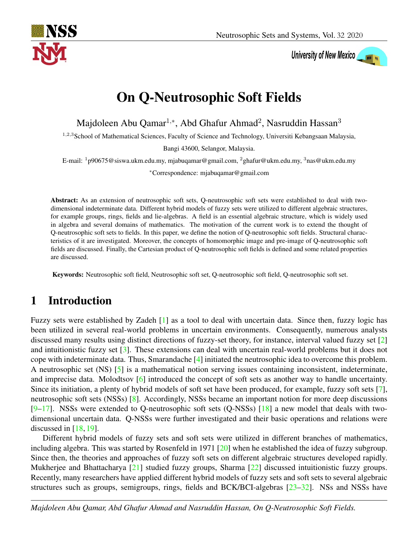

# University of New Mexico

## On Q-Neutrosophic Soft Fields

Majdoleen Abu Qamar<sup>1,\*</sup>, Abd Ghafur Ahmad<sup>2</sup>, Nasruddin Hassan<sup>3</sup>

<sup>1,2,3</sup>School of Mathematical Sciences, Faculty of Science and Technology, Universiti Kebangsaan Malaysia,

Bangi 43600, Selangor, Malaysia.

E-mail:  $1p90675@siswa.ukm.edu.my, mjabuqamar@gmail.com,  $2p4pafur@ukm.edu.my, 3p4qau.my$$ 

<sup>∗</sup>Correspondence: mjabuqamar@gmail.com

Abstract: As an extension of neutrosophic soft sets, Q-neutrosophic soft sets were established to deal with twodimensional indeterminate data. Different hybrid models of fuzzy sets were utilized to different algebraic structures, for example groups, rings, fields and lie-algebras. A field is an essential algebraic structure, which is widely used in algebra and several domains of mathematics. The motivation of the current work is to extend the thought of Q-neutrosophic soft sets to fields. In this paper, we define the notion of Q-neutrosophic soft fields. Structural characteristics of it are investigated. Moreover, the concepts of homomorphic image and pre-image of Q-neutrosophic soft fields are discussed. Finally, the Cartesian product of Q-neutrosophic soft fields is defined and some related properties are discussed.

Keywords: Neutrosophic soft field, Neutrosophic soft set, Q-neutrosophic soft field, Q-neutrosophic soft set.

### 1 Introduction

Fuzzy sets were established by Zadeh [\[1\]](#page-11-0) as a tool to deal with uncertain data. Since then, fuzzy logic has been utilized in several real-world problems in uncertain environments. Consequently, numerous analysts discussed many results using distinct directions of fuzzy-set theory, for instance, interval valued fuzzy set [\[2\]](#page-11-1) and intuitionistic fuzzy set [\[3\]](#page-11-2). These extensions can deal with uncertain real-world problems but it does not cope with indeterminate data. Thus, Smarandache [\[4\]](#page-12-0) initiated the neutrosophic idea to overcome this problem. A neutrosophic set (NS) [\[5\]](#page-12-1) is a mathematical notion serving issues containing inconsistent, indeterminate, and imprecise data. Molodtsov [\[6\]](#page-12-2) introduced the concept of soft sets as another way to handle uncertainty. Since its initiation, a plenty of hybrid models of soft set have been produced, for example, fuzzy soft sets [\[7\]](#page-12-3), neutrosophic soft sets (NSSs) [\[8\]](#page-12-4). Accordingly, NSSs became an important notion for more deep discussions [\[9](#page-12-5)[–17\]](#page-12-6). NSSs were extended to Q-neutrosophic soft sets (Q-NSSs) [\[18\]](#page-12-7) a new model that deals with twodimensional uncertain data. Q-NSSs were further investigated and their basic operations and relations were discussed in  $[18, 19]$  $[18, 19]$  $[18, 19]$ .

Different hybrid models of fuzzy sets and soft sets were utilized in different branches of mathematics, including algebra. This was started by Rosenfeld in 1971 [\[20\]](#page-12-9) when he established the idea of fuzzy subgroup. Since then, the theories and approaches of fuzzy soft sets on different algebraic structures developed rapidly. Mukherjee and Bhattacharya [\[21\]](#page-12-10) studied fuzzy groups, Sharma [\[22\]](#page-12-11) discussed intuitionistic fuzzy groups. Recently, many researchers have applied different hybrid models of fuzzy sets and soft sets to several algebraic structures such as groups, semigroups, rings, fields and BCK/BCI-algebras [\[23](#page-12-12)[–32\]](#page-13-0). NSs and NSSs have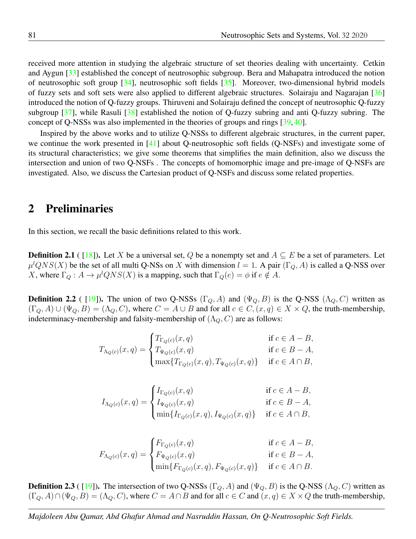received more attention in studying the algebraic structure of set theories dealing with uncertainty. Cetkin and Aygun [\[33\]](#page-13-1) established the concept of neutrosophic subgroup. Bera and Mahapatra introduced the notion of neutrosophic soft group [\[34\]](#page-13-2), neutrosophic soft fields [\[35\]](#page-13-3). Moreover, two-dimensional hybrid models of fuzzy sets and soft sets were also applied to different algebraic structures. Solairaju and Nagarajan [\[36\]](#page-13-4) introduced the notion of Q-fuzzy groups. Thiruveni and Solairaju defined the concept of neutrosophic Q-fuzzy subgroup [\[37\]](#page-13-5), while Rasuli [\[38\]](#page-13-6) established the notion of Q-fuzzy subring and anti Q-fuzzy subring. The concept of Q-NSSs was also implemented in the theories of groups and rings [\[39,](#page-13-7) [40\]](#page-13-8).

Inspired by the above works and to utilize Q-NSSs to different algebraic structures, in the current paper, we continue the work presented in [\[41\]](#page-13-9) about Q-neutrosophic soft fields (Q-NSFs) and investigate some of its structural characteristics; we give some theorems that simplifies the main definition, also we discuss the intersection and union of two Q-NSFs . The concepts of homomorphic image and pre-image of Q-NSFs are investigated. Also, we discuss the Cartesian product of Q-NSFs and discuss some related properties.

#### 2 Preliminaries

In this section, we recall the basic definitions related to this work.

**Definition 2.1** ( [\[18\]](#page-12-7)). Let X be a universal set, Q be a nonempty set and  $A \subseteq E$  be a set of parameters. Let  $\mu^l QNS(X)$  be the set of all multi Q-NSs on X with dimension  $l = 1$ . A pair  $(\Gamma_Q, A)$  is called a Q-NSS over X, where  $\Gamma_Q: A \to \mu^l QNS(X)$  is a mapping, such that  $\Gamma_Q(e) = \phi$  if  $e \notin A$ .

**Definition 2.2** ( [\[19\]](#page-12-8)). The union of two Q-NSSs (Γ<sub>Q</sub>, A) and ( $\Psi$ <sub>Q</sub>, B) is the Q-NSS ( $\Lambda$ <sub>Q</sub>, C) written as  $(\Gamma_Q, A) \cup (\Psi_Q, B) = (\Lambda_Q, C)$ , where  $C = A \cup B$  and for all  $c \in C$ ,  $(x, q) \in X \times Q$ , the truth-membership, indeterminacy-membership and falsity-membership of  $(\Lambda_Q, C)$  are as follows:

$$
T_{\Lambda_Q(c)}(x,q) = \begin{cases} T_{\Gamma_Q(c)}(x,q) & \text{if } c \in A - B, \\ T_{\Psi_Q(c)}(x,q) & \text{if } c \in B - A, \\ \max\{T_{\Gamma_Q(c)}(x,q), T_{\Psi_Q(c)}(x,q)\} & \text{if } c \in A \cap B, \end{cases}
$$

$$
I_{\Lambda_Q(c)}(x,q) = \begin{cases} I_{\Gamma_Q(c)}(x,q) & \text{if } c \in A - B, \\ I_{\Psi_Q(c)}(x,q) & \text{if } c \in B - A, \\ \min\{I_{\Gamma_Q(c)}(x,q), I_{\Psi_Q(c)}(x,q)\} & \text{if } c \in A \cap B, \end{cases}
$$

$$
F_{\Lambda_Q(c)}(x,q) = \begin{cases} F_{\Gamma_Q(c)}(x,q) & \text{if } c \in A - B, \\ F_{\Psi_Q(c)}(x,q) & \text{if } c \in B - A, \\ \min\{F_{\Gamma_Q(c)}(x,q), F_{\Psi_Q(c)}(x,q)\} & \text{if } c \in A \cap B. \end{cases}
$$

**Definition 2.3** ( [\[19\]](#page-12-8)). The intersection of two Q-NSSs ( $\Gamma_Q$ , A) and ( $\Psi_Q$ , B) is the Q-NSS ( $\Lambda_Q$ , C) written as  $(\Gamma_Q, A) \cap (\Psi_Q, B) = (\Lambda_Q, C)$ , where  $C = A \cap B$  and for all  $c \in C$  and  $(x, q) \in X \times Q$  the truth-membership,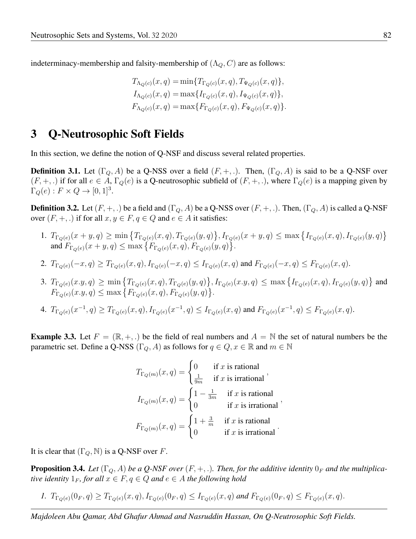indeterminacy-membership and falsity-membership of  $(\Lambda_Q, C)$  are as follows:

$$
T_{\Lambda_Q(c)}(x,q) = \min\{T_{\Gamma_Q(c)}(x,q), T_{\Psi_Q(c)}(x,q)\},
$$
  
\n
$$
I_{\Lambda_Q(c)}(x,q) = \max\{I_{\Gamma_Q(c)}(x,q), I_{\Psi_Q(c)}(x,q)\},
$$
  
\n
$$
F_{\Lambda_Q(c)}(x,q) = \max\{F_{\Gamma_Q(c)}(x,q), F_{\Psi_Q(c)}(x,q)\}.
$$

#### 3 Q-Neutrosophic Soft Fields

In this section, we define the notion of Q-NSF and discuss several related properties.

**Definition 3.1.** Let  $(\Gamma_Q, A)$  be a Q-NSS over a field  $(F, +, .)$ . Then,  $(\Gamma_Q, A)$  is said to be a Q-NSF over  $(F, +, \cdot)$  if for all  $e \in A$ ,  $\Gamma_Q(e)$  is a Q-neutrosophic subfield of  $(F, +, \cdot)$ , where  $\Gamma_Q(e)$  is a mapping given by  $\Gamma_{Q}(e) : F \times Q \rightarrow [0, 1]^{3}.$ 

**Definition 3.2.** Let  $(F, +, \cdot)$  be a field and  $(\Gamma_Q, A)$  be a Q-NSS over  $(F, +, \cdot)$ . Then,  $(\Gamma_Q, A)$  is called a Q-NSF over  $(F, +, \cdot)$  if for all  $x, y \in F, q \in Q$  and  $e \in A$  it satisfies:

- 1.  $T_{\Gamma_Q(e)}(x+y,q) \ge \min \left\{ T_{\Gamma_Q(e)}(x,q), T_{\Gamma_Q(e)}(y,q) \right\}, I_{\Gamma_Q(e)}(x+y,q) \le \max \left\{ I_{\Gamma_Q(e)}(x,q), I_{\Gamma_Q(e)}(y,q) \right\}$ and  $F_{\Gamma_Q(e)}(x+y,q) \le \max\left\{F_{\Gamma_Q(e)}(x,q), F_{\Gamma_Q(e)}(y,q)\right\}.$
- 2.  $T_{\Gamma_Q(e)}(-x, q) \geq T_{\Gamma_Q(e)}(x, q), I_{\Gamma_Q(e)}(-x, q) \leq I_{\Gamma_Q(e)}(x, q)$  and  $F_{\Gamma_Q(e)}(-x, q) \leq F_{\Gamma_Q(e)}(x, q)$ .
- 3.  $T_{\Gamma_Q(e)}(x,y,q) \ge \min\left\{T_{\Gamma_Q(e)}(x,q), T_{\Gamma_Q(e)}(y,q)\right\}, I_{\Gamma_Q(e)}(x,y,q) \le \max\left\{I_{\Gamma_Q(e)}(x,q), I_{\Gamma_Q(e)}(y,q)\right\}$  and  $F_{\Gamma_Q(e)}(x,y,q) \le \max\big\{F_{\Gamma_Q(e)}(x,q), F_{\Gamma_Q(e)}(y,q)\big\}.$
- 4.  $T_{\Gamma_Q(e)}(x^{-1}, q) \ge T_{\Gamma_Q(e)}(x, q), I_{\Gamma_Q(e)}(x^{-1}, q) \le I_{\Gamma_Q(e)}(x, q)$  and  $F_{\Gamma_Q(e)}(x^{-1}, q) \le F_{\Gamma_Q(e)}(x, q)$ .

**Example 3.3.** Let  $F = (\mathbb{R}, +, .)$  be the field of real numbers and  $A = \mathbb{N}$  the set of natural numbers be the parametric set. Define a Q-NSS ( $\Gamma_Q$ , A) as follows for  $q \in Q$ ,  $x \in \mathbb{R}$  and  $m \in \mathbb{N}$ 

$$
T_{\Gamma_Q(m)}(x,q) = \begin{cases} 0 & \text{if } x \text{ is rational} \\ \frac{1}{9m} & \text{if } x \text{ is irrational} \end{cases},
$$

$$
I_{\Gamma_Q(m)}(x,q) = \begin{cases} 1 - \frac{1}{3m} & \text{if } x \text{ is rational} \\ 0 & \text{if } x \text{ is irrational} \end{cases},
$$

$$
F_{\Gamma_Q(m)}(x,q) = \begin{cases} 1 + \frac{3}{m} & \text{if } x \text{ is rational} \\ 0 & \text{if } x \text{ is irrational} \end{cases}.
$$

It is clear that  $(\Gamma_O, \mathbb{N})$  is a Q-NSF over F.

**Proposition 3.4.** Let  $(\Gamma_Q, A)$  be a Q-NSF over  $(F, +, .)$ . Then, for the additive identity  $0_F$  and the multiplica*tive identity*  $1_F$ *, for all*  $x \in F$ *,*  $q \in Q$  *and*  $e \in A$  *the following hold* 

*1.*  $T_{\Gamma_{\Omega}(e)}(0_{F}, q) \geq T_{\Gamma_{\Omega}(e)}(x, q), I_{\Gamma_{\Omega}(e)}(0_{F}, q) \leq I_{\Gamma_{\Omega}(e)}(x, q)$  and  $F_{\Gamma_{\Omega}(e)}(0_{F}, q) \leq F_{\Gamma_{\Omega}(e)}(x, q)$ .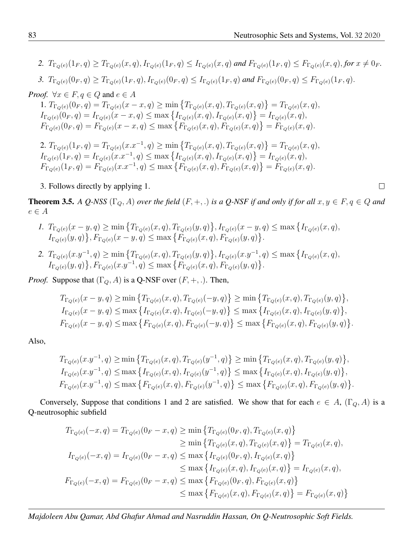2.  $T_{\Gamma_Q(e)}(1_F, q) \geq T_{\Gamma_Q(e)}(x, q), I_{\Gamma_Q(e)}(1_F, q) \leq I_{\Gamma_Q(e)}(x, q)$  and  $F_{\Gamma_Q(e)}(1_F, q) \leq F_{\Gamma_Q(e)}(x, q),$  for  $x \neq 0_F$ . *3.*  $T_{\Gamma_Q(e)}(0_F, q) \geq T_{\Gamma_Q(e)}(1_F, q), I_{\Gamma_Q(e)}(0_F, q) \leq I_{\Gamma_Q(e)}(1_F, q)$  and  $F_{\Gamma_Q(e)}(0_F, q) \leq F_{\Gamma_Q(e)}(1_F, q)$ . *Proof.*  $\forall x \in F, q \in Q$  and  $e \in A$ 1.  $T_{\Gamma_Q(e)}(0_F, q) = T_{\Gamma_Q(e)}(x - x, q) \ge \min \{ T_{\Gamma_Q(e)}(x, q), T_{\Gamma_Q(e)}(x, q) \} = T_{\Gamma_Q(e)}(x, q),$  $I_{\Gamma_Q(e)}(0_F, q) = I_{\Gamma_Q(e)}(x - x, q) \le \max\left\{I_{\Gamma_Q(e)}(x, q), I_{\Gamma_Q(e)}(x, q)\right\} = I_{\Gamma_Q(e)}(x, q),$  $F_{\Gamma_Q(e)}(0_F, q) = F_{\Gamma_Q(e)}(x - x, q) \le \max\left\{F_{\Gamma_Q(e)}(x, q), F_{\Gamma_Q(e)}(x, q)\right\} = F_{\Gamma_Q(e)}(x, q).$ 2.  $T_{\Gamma_Q(e)}(1_F, q) = T_{\Gamma_Q(e)}(x.x^{-1}, q) \ge \min \{ T_{\Gamma_Q(e)}(x, q), T_{\Gamma_Q(e)}(x, q) \} = T_{\Gamma_Q(e)}(x, q),$  $I_{\Gamma_Q(e)}(1_F, q) = I_{\Gamma_Q(e)}(x.x^{-1}, q) \le \max\left\{I_{\Gamma_Q(e)}(x, q), I_{\Gamma_Q(e)}(x, q)\right\} = I_{\Gamma_Q(e)}(x, q),$  $F_{\Gamma_Q(e)}(1_F, q) = F_{\Gamma_Q(e)}(x.x^{-1}, q) \le \max\left\{F_{\Gamma_Q(e)}(x, q), F_{\Gamma_Q(e)}(x, q)\right\} = F_{\Gamma_Q(e)}(x, q).$ 

3. Follows directly by applying 1.

**Theorem 3.5.** A Q-NSS  $(\Gamma_Q, A)$  over the field  $(F, +, .)$  is a Q-NSF if and only if for all  $x, y \in F, q \in Q$  and  $e \in A$ 

- *1.*  $T_{\Gamma_Q(e)}(x-y,q) \ge \min \left\{ T_{\Gamma_Q(e)}(x,q), T_{\Gamma_Q(e)}(y,q) \right\}, I_{\Gamma_Q(e)}(x-y,q) \le \max \left\{ I_{\Gamma_Q(e)}(x,q),$  $I_{\Gamma_Q(e)}(y,q) \}, F_{\Gamma_Q(e)}(x-y,q) \le \max \{ F_{\Gamma_Q(e)}(x,q), F_{\Gamma_Q(e)}(y,q) \}.$
- 2.  $T_{\Gamma_Q(e)}(x.y^{-1},q) \ge \min \left\{ T_{\Gamma_Q(e)}(x,q), T_{\Gamma_Q(e)}(y,q) \right\}, I_{\Gamma_Q(e)}(x.y^{-1},q) \le \max \left\{ I_{\Gamma_Q(e)}(x,q),$  $I_{\Gamma_Q(e)}(y,q) \}, F_{\Gamma_Q(e)}(x,y^{-1}, q) \le \max \{ F_{\Gamma_Q(e)}(x,q), F_{\Gamma_Q(e)}(y,q) \}.$

*Proof.* Suppose that  $(\Gamma_Q, A)$  is a Q-NSF over  $(F, +, .)$ . Then,

$$
T_{\Gamma_Q(e)}(x-y,q) \ge \min \left\{ T_{\Gamma_Q(e)}(x,q), T_{\Gamma_Q(e)}(-y,q) \right\} \ge \min \left\{ T_{\Gamma_Q(e)}(x,q), T_{\Gamma_Q(e)}(y,q) \right\},
$$
  
\n
$$
I_{\Gamma_Q(e)}(x-y,q) \le \max \left\{ I_{\Gamma_Q(e)}(x,q), I_{\Gamma_Q(e)}(-y,q) \right\} \le \max \left\{ I_{\Gamma_Q(e)}(x,q), I_{\Gamma_Q(e)}(y,q) \right\},
$$
  
\n
$$
F_{\Gamma_Q(e)}(x-y,q) \le \max \left\{ F_{\Gamma_Q(e)}(x,q), F_{\Gamma_Q(e)}(-y,q) \right\} \le \max \left\{ F_{\Gamma_Q(e)}(x,q), F_{\Gamma_Q(e)}(y,q) \right\}.
$$

Also,

$$
T_{\Gamma_Q(e)}(x.y^{-1},q) \ge \min\left\{T_{\Gamma_Q(e)}(x,q), T_{\Gamma_Q(e)}(y^{-1},q)\right\} \ge \min\left\{T_{\Gamma_Q(e)}(x,q), T_{\Gamma_Q(e)}(y,q)\right\},
$$
  
\n
$$
I_{\Gamma_Q(e)}(x.y^{-1},q) \le \max\left\{I_{\Gamma_Q(e)}(x,q), I_{\Gamma_Q(e)}(y^{-1},q)\right\} \le \max\left\{I_{\Gamma_Q(e)}(x,q), I_{\Gamma_Q(e)}(y,q)\right\},
$$
  
\n
$$
F_{\Gamma_Q(e)}(x.y^{-1},q) \le \max\left\{F_{\Gamma_Q(e)}(x,q), F_{\Gamma_Q(e)}(y^{-1},q)\right\} \le \max\left\{F_{\Gamma_Q(e)}(x,q), F_{\Gamma_Q(e)}(y,q)\right\}
$$

Conversely, Suppose that conditions 1 and 2 are satisfied. We show that for each  $e \in A$ ,  $(\Gamma_Q, A)$  is a Q-neutrosophic subfield

$$
T_{\Gamma_Q(e)}(-x,q) = T_{\Gamma_Q(e)}(0_F - x, q) \ge \min \left\{ T_{\Gamma_Q(e)}(0_F, q), T_{\Gamma_Q(e)}(x, q) \right\}
$$
  
\n
$$
\ge \min \left\{ T_{\Gamma_Q(e)}(x,q), T_{\Gamma_Q(e)}(x,q) \right\} = T_{\Gamma_Q(e)}(x,q),
$$
  
\n
$$
I_{\Gamma_Q(e)}(-x,q) = I_{\Gamma_Q(e)}(0_F - x, q) \le \max \left\{ I_{\Gamma_Q(e)}(0_F, q), I_{\Gamma_Q(e)}(x,q) \right\}
$$
  
\n
$$
\le \max \left\{ I_{\Gamma_Q(e)}(x,q), I_{\Gamma_Q(e)}(x,q) \right\} = I_{\Gamma_Q(e)}(x,q),
$$
  
\n
$$
F_{\Gamma_Q(e)}(-x,q) = F_{\Gamma_Q(e)}(0_F - x, q) \le \max \left\{ F_{\Gamma_Q(e)}(0_F, q), F_{\Gamma_Q(e)}(x,q) \right\}
$$
  
\n
$$
\le \max \left\{ F_{\Gamma_Q(e)}(x,q), F_{\Gamma_Q(e)}(x,q) \right\} = F_{\Gamma_Q(e)}(x,q)
$$

*Majdoleen Abu Qamar, Abd Ghafur Ahmad and Nasruddin Hassan, On Q-Neutrosophic Soft Fields.*

 $\Box$ 

.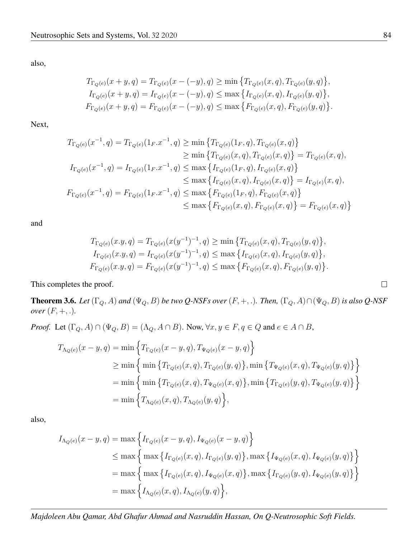also,

$$
T_{\Gamma_Q(e)}(x+y,q) = T_{\Gamma_Q(e)}(x - (-y), q) \ge \min \left\{ T_{\Gamma_Q(e)}(x,q), T_{\Gamma_Q(e)}(y,q) \right\},
$$
  
\n
$$
I_{\Gamma_Q(e)}(x+y,q) = I_{\Gamma_Q(e)}(x - (-y), q) \le \max \left\{ I_{\Gamma_Q(e)}(x,q), I_{\Gamma_Q(e)}(y,q) \right\},
$$
  
\n
$$
F_{\Gamma_Q(e)}(x+y,q) = F_{\Gamma_Q(e)}(x - (-y), q) \le \max \left\{ F_{\Gamma_Q(e)}(x,q), F_{\Gamma_Q(e)}(y,q) \right\}.
$$

Next,

$$
T_{\Gamma_Q(e)}(x^{-1}, q) = T_{\Gamma_Q(e)}(1_F.x^{-1}, q) \ge \min \left\{ T_{\Gamma_Q(e)}(1_F, q), T_{\Gamma_Q(e)}(x, q) \right\}
$$
  
\n
$$
\ge \min \left\{ T_{\Gamma_Q(e)}(x, q), T_{\Gamma_Q(e)}(x, q) \right\} = T_{\Gamma_Q(e)}(x, q),
$$
  
\n
$$
I_{\Gamma_Q(e)}(x^{-1}, q) = I_{\Gamma_Q(e)}(1_F.x^{-1}, q) \le \max \left\{ I_{\Gamma_Q(e)}(1_F, q), I_{\Gamma_Q(e)}(x, q) \right\}
$$
  
\n
$$
\le \max \left\{ I_{\Gamma_Q(e)}(x, q), I_{\Gamma_Q(e)}(x, q) \right\} = I_{\Gamma_Q(e)}(x, q),
$$
  
\n
$$
F_{\Gamma_Q(e)}(x^{-1}, q) = F_{\Gamma_Q(e)}(1_F.x^{-1}, q) \le \max \left\{ F_{\Gamma_Q(e)}(1_F, q), F_{\Gamma_Q(e)}(x, q) \right\}
$$
  
\n
$$
\le \max \left\{ F_{\Gamma_Q(e)}(x, q), F_{\Gamma_Q(e)}(x, q) \right\} = F_{\Gamma_Q(e)}(x, q)
$$

and

$$
T_{\Gamma_Q(e)}(x,y,q) = T_{\Gamma_Q(e)}(x(y^{-1})^{-1},q) \ge \min\left\{T_{\Gamma_Q(e)}(x,q), T_{\Gamma_Q(e)}(y,q)\right\},
$$
  
\n
$$
I_{\Gamma_Q(e)}(x,y,q) = I_{\Gamma_Q(e)}(x(y^{-1})^{-1},q) \le \max\left\{I_{\Gamma_Q(e)}(x,q), I_{\Gamma_Q(e)}(y,q)\right\},
$$
  
\n
$$
F_{\Gamma_Q(e)}(x,y,q) = F_{\Gamma_Q(e)}(x(y^{-1})^{-1},q) \le \max\left\{F_{\Gamma_Q(e)}(x,q), F_{\Gamma_Q(e)}(y,q)\right\}.
$$

This completes the proof.

**Theorem 3.6.** Let  $(\Gamma_Q, A)$  and  $(\Psi_Q, B)$  be two Q-NSFs over  $(F, +, \cdot)$ . Then,  $(\Gamma_Q, A) \cap (\Psi_Q, B)$  is also Q-NSF *over*  $(F, +, .).$ 

*Proof.* Let  $(\Gamma_Q, A) \cap (\Psi_Q, B) = (\Lambda_Q, A \cap B)$ . Now,  $\forall x, y \in F, q \in Q$  and  $e \in A \cap B$ ,

$$
T_{\Lambda_Q(e)}(x - y, q) = \min \left\{ T_{\Gamma_Q(e)}(x - y, q), T_{\Psi_Q(e)}(x - y, q) \right\}
$$
  
\n
$$
\geq \min \left\{ \min \left\{ T_{\Gamma_Q(e)}(x, q), T_{\Gamma_Q(e)}(y, q) \right\}, \min \left\{ T_{\Psi_Q(e)}(x, q), T_{\Psi_Q(e)}(y, q) \right\} \right\}
$$
  
\n
$$
= \min \left\{ \min \left\{ T_{\Gamma_Q(e)}(x, q), T_{\Psi_Q(e)}(x, q) \right\}, \min \left\{ T_{\Gamma_Q(e)}(y, q), T_{\Psi_Q(e)}(y, q) \right\} \right\}
$$
  
\n
$$
= \min \left\{ T_{\Lambda_Q(e)}(x, q), T_{\Lambda_Q(e)}(y, q) \right\},
$$

also,

$$
I_{\Lambda_Q(e)}(x-y,q) = \max \Big\{ I_{\Gamma_Q(e)}(x-y,q), I_{\Psi_Q(e)}(x-y,q) \Big\}
$$
  
\n
$$
\leq \max \Big\{ \max \Big\{ I_{\Gamma_Q(e)}(x,q), I_{\Gamma_Q(e)}(y,q) \Big\}, \max \Big\{ I_{\Psi_Q(e)}(x,q), I_{\Psi_Q(e)}(y,q) \Big\} \Big\}
$$
  
\n
$$
= \max \Big\{ \max \Big\{ I_{\Gamma_Q(e)}(x,q), I_{\Psi_Q(e)}(x,q) \Big\}, \max \Big\{ I_{\Gamma_Q(e)}(y,q), I_{\Psi_Q(e)}(y,q) \Big\} \Big\}
$$
  
\n
$$
= \max \Big\{ I_{\Lambda_Q(e)}(x,q), I_{\Lambda_Q(e)}(y,q) \Big\},
$$

 $\Box$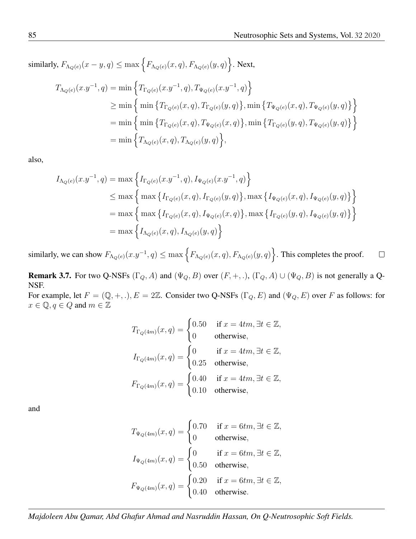similarly,  $F_{\Lambda_Q(e)}(x-y,q)\leq \max\left\{F_{\Lambda_Q(e)}(x,q),F_{\Lambda_Q(e)}(y,q)\right\}$ . Next,

$$
T_{\Lambda_Q(e)}(x.y^{-1},q) = \min \left\{ T_{\Gamma_Q(e)}(x.y^{-1},q), T_{\Psi_Q(e)}(x.y^{-1},q) \right\}
$$
  
\n
$$
\geq \min \left\{ \min \left\{ T_{\Gamma_Q(e)}(x,q), T_{\Gamma_Q(e)}(y,q) \right\}, \min \left\{ T_{\Psi_Q(e)}(x,q), T_{\Psi_Q(e)}(y,q) \right\} \right\}
$$
  
\n
$$
= \min \left\{ \min \left\{ T_{\Gamma_Q(e)}(x,q), T_{\Psi_Q(e)}(x,q) \right\}, \min \left\{ T_{\Gamma_Q(e)}(y,q), T_{\Psi_Q(e)}(y,q) \right\} \right\}
$$
  
\n
$$
= \min \left\{ T_{\Lambda_Q(e)}(x,q), T_{\Lambda_Q(e)}(y,q) \right\},
$$

also,

$$
I_{\Lambda_Q(e)}(x.y^{-1},q) = \max \left\{ I_{\Gamma_Q(e)}(x.y^{-1},q), I_{\Psi_Q(e)}(x.y^{-1},q) \right\}
$$
  
\n
$$
\leq \max \left\{ \max \left\{ I_{\Gamma_Q(e)}(x,q), I_{\Gamma_Q(e)}(y,q) \right\}, \max \left\{ I_{\Psi_Q(e)}(x,q), I_{\Psi_Q(e)}(y,q) \right\} \right\}
$$
  
\n
$$
= \max \left\{ \max \left\{ I_{\Gamma_Q(e)}(x,q), I_{\Psi_Q(e)}(x,q) \right\}, \max \left\{ I_{\Gamma_Q(e)}(y,q), I_{\Psi_Q(e)}(y,q) \right\} \right\}
$$
  
\n
$$
= \max \left\{ I_{\Lambda_Q(e)}(x,q), I_{\Lambda_Q(e)}(y,q) \right\}
$$

similarly, we can show  $F_{\Lambda_Q(e)}(x,y^{-1},q)\leq \max\left\{F_{\Lambda_Q(e)}(x,q),F_{\Lambda_Q(e)}(y,q)\right\}$ . This completes the proof.  $\Box$ 

**Remark 3.7.** For two Q-NSFs  $(\Gamma_Q, A)$  and  $(\Psi_Q, B)$  over  $(F, +, .)$ ,  $(\Gamma_Q, A) \cup (\Psi_Q, B)$  is not generally a Q-NSF.

For example, let  $F = (\mathbb{Q}, +, .), E = 2\mathbb{Z}$ . Consider two Q-NSFs  $(\Gamma_Q, E)$  and  $(\Psi_Q, E)$  over F as follows: for  $x \in \mathbb{Q}, q \in Q$  and  $m \in \mathbb{Z}$ 

$$
T_{\Gamma_Q(4m)}(x,q) = \begin{cases} 0.50 & \text{if } x = 4tm, \exists t \in \mathbb{Z}, \\ 0 & \text{otherwise}, \end{cases}
$$
  

$$
I_{\Gamma_Q(4m)}(x,q) = \begin{cases} 0 & \text{if } x = 4tm, \exists t \in \mathbb{Z}, \\ 0.25 & \text{otherwise}, \end{cases}
$$
  

$$
F_{\Gamma_Q(4m)}(x,q) = \begin{cases} 0.40 & \text{if } x = 4tm, \exists t \in \mathbb{Z}, \\ 0.10 & \text{otherwise}, \end{cases}
$$

and

$$
T_{\Psi_Q(4m)}(x,q) = \begin{cases} 0.70 & \text{if } x = 6tm, \exists t \in \mathbb{Z}, \\ 0 & \text{otherwise}, \end{cases}
$$

$$
I_{\Psi_Q(4m)}(x,q) = \begin{cases} 0 & \text{if } x = 6tm, \exists t \in \mathbb{Z}, \\ 0.50 & \text{otherwise}, \end{cases}
$$

$$
F_{\Psi_Q(4m)}(x,q) = \begin{cases} 0.20 & \text{if } x = 6tm, \exists t \in \mathbb{Z}, \\ 0.40 & \text{otherwise}. \end{cases}
$$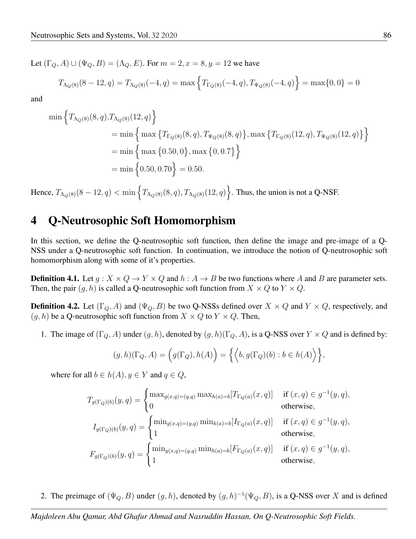Let  $(\Gamma_Q, A) \cup (\Psi_Q, B) = (\Lambda_Q, E)$ . For  $m = 2, x = 8, y = 12$  we have

$$
T_{\Lambda_Q(8)}(8-12,q) = T_{\Lambda_Q(8)}(-4,q) = \max\left\{T_{\Gamma_Q(8)}(-4,q), T_{\Psi_Q(8)}(-4,q)\right\} = \max\{0,0\} = 0
$$

and

$$
\begin{aligned}\n\min \Big\{ & T_{\Lambda_Q(8)}(8, q), T_{\Lambda_Q(8)}(12, q) \Big\} \\
&= \min \Big\{ \max \big\{ & T_{\Gamma_Q(8)}(8, q), T_{\Psi_Q(8)}(8, q) \big\}, \max \big\{ & T_{\Gamma_Q(8)}(12, q), T_{\Psi_Q(8)}(12, q) \big\} \Big\} \\
&= \min \Big\{ \max \big\{ 0.50, 0 \big\}, \max \big\{ 0, 0.7 \big\} \Big\} \\
&= \min \Big\{ 0.50, 0.70 \Big\} = 0.50.\n\end{aligned}
$$

Hence,  $T_{\Lambda_Q(8)}(8-12, q) < \min \left\{T_{\Lambda_Q(8)}(8, q), T_{\Lambda_Q(8)}(12, q)\right\}$ . Thus, the union is not a Q-NSF.

#### 4 Q-Neutrosophic Soft Homomorphism

In this section, we define the Q-neutrosophic soft function, then define the image and pre-image of a Q-NSS under a Q-neutrosophic soft function. In continuation, we introduce the notion of Q-neutrosophic soft homomorphism along with some of it's properties.

**Definition 4.1.** Let  $g: X \times Q \to Y \times Q$  and  $h: A \to B$  be two functions where A and B are parameter sets. Then, the pair  $(g, h)$  is called a Q-neutrosophic soft function from  $X \times Q$  to  $Y \times Q$ .

**Definition 4.2.** Let  $(\Gamma_Q, A)$  and  $(\Psi_Q, B)$  be two Q-NSSs defined over  $X \times Q$  and  $Y \times Q$ , respectively, and  $(g, h)$  be a Q-neutrosophic soft function from  $X \times Q$  to  $Y \times Q$ . Then,

1. The image of  $(\Gamma_Q, A)$  under  $(g, h)$ , denoted by  $(g, h)(\Gamma_Q, A)$ , is a Q-NSS over  $Y \times Q$  and is defined by:

$$
(g,h)(\Gamma_Q,A) = \left(g(\Gamma_Q), h(A)\right) = \left\{ \left\langle b, g(\Gamma_Q)(b) : b \in h(A) \right\rangle \right\},\
$$

where for all  $b \in h(A)$ ,  $y \in Y$  and  $q \in Q$ ,

$$
T_{g(\Gamma_Q)(b)}(y,q) = \begin{cases} \max_{g(x,q)=(y,q)} \max_{h(a)=b} [T_{\Gamma_Q(a)}(x,q)] & \text{if } (x,q) \in g^{-1}(y,q), \\ 0 & \text{otherwise,} \end{cases}
$$
  
\n
$$
I_{g(\Gamma_Q)(b)}(y,q) = \begin{cases} \min_{g(x,q)=(y,q)} \min_{h(a)=b} [I_{\Gamma_Q(a)}(x,q)] & \text{if } (x,q) \in g^{-1}(y,q), \\ 1 & \text{otherwise,} \end{cases}
$$
  
\n
$$
F_{g(\Gamma_Q)(b)}(y,q) = \begin{cases} \min_{g(x,q)=(y,q)} \min_{h(a)=b} [F_{\Gamma_Q(a)}(x,q)] & \text{if } (x,q) \in g^{-1}(y,q), \\ 1 & \text{otherwise,} \end{cases}
$$

2. The preimage of  $(\Psi_Q, B)$  under  $(g, h)$ , denoted by  $(g, h)^{-1}(\Psi_Q, B)$ , is a Q-NSS over X and is defined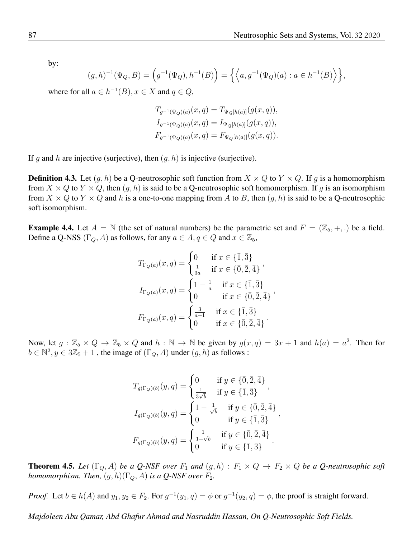by:

$$
(g,h)^{-1}(\Psi_Q, B) = \left(g^{-1}(\Psi_Q), h^{-1}(B)\right) = \left\{ \left\langle a, g^{-1}(\Psi_Q)(a) : a \in h^{-1}(B) \right\rangle \right\},\
$$

where for all  $a \in h^{-1}(B)$ ,  $x \in X$  and  $q \in Q$ ,

$$
T_{g^{-1}(\Psi_Q)(a)}(x,q) = T_{\Psi_Q[h(a)]}(g(x,q)),
$$
  
\n
$$
I_{g^{-1}(\Psi_Q)(a)}(x,q) = I_{\Psi_Q[h(a)]}(g(x,q)),
$$
  
\n
$$
F_{g^{-1}(\Psi_Q)(a)}(x,q) = F_{\Psi_Q[h(a)]}(g(x,q)).
$$

If g and h are injective (surjective), then  $(q, h)$  is injective (surjective).

**Definition 4.3.** Let  $(g, h)$  be a Q-neutrosophic soft function from  $X \times Q$  to  $Y \times Q$ . If g is a homomorphism from  $X \times Q$  to  $Y \times Q$ , then  $(g, h)$  is said to be a Q-neutrosophic soft homomorphism. If g is an isomorphism from  $X \times Q$  to  $Y \times Q$  and h is a one-to-one mapping from A to B, then  $(g, h)$  is said to be a Q-neutrosophic soft isomorphism.

**Example 4.4.** Let  $A = \mathbb{N}$  (the set of natural numbers) be the parametric set and  $F = (\mathbb{Z}_5, +, .)$  be a field. Define a Q-NSS ( $\Gamma_Q$ , A) as follows, for any  $a \in A$ ,  $q \in Q$  and  $x \in \mathbb{Z}_5$ ,

$$
T_{\Gamma_Q(a)}(x,q) = \begin{cases} 0 & \text{if } x \in \{\bar{1}, \bar{3}\} \\ \frac{1}{3a} & \text{if } x \in \{\bar{0}, \bar{2}, \bar{4}\} \end{cases},
$$

$$
I_{\Gamma_Q(a)}(x,q) = \begin{cases} 1 - \frac{1}{a} & \text{if } x \in \{\bar{1}, \bar{3}\} \\ 0 & \text{if } x \in \{\bar{0}, \bar{2}, \bar{4}\} \end{cases},
$$

$$
F_{\Gamma_Q(a)}(x,q) = \begin{cases} \frac{3}{a+1} & \text{if } x \in \{\bar{1}, \bar{3}\} \\ 0 & \text{if } x \in \{\bar{0}, \bar{2}, \bar{4}\} \end{cases}.
$$

Now, let  $g : \mathbb{Z}_5 \times Q \to \mathbb{Z}_5 \times Q$  and  $h : \mathbb{N} \to \mathbb{N}$  be given by  $g(x,q) = 3x + 1$  and  $h(a) = a^2$ . Then for  $b \in \mathbb{N}^2, y \in 3\mathbb{Z}_5 + 1$ , the image of  $(\Gamma_Q, A)$  under  $(g, h)$  as follows :

$$
T_{g(\Gamma_Q)(b)}(y, q) = \begin{cases} 0 & \text{if } y \in \{\bar{0}, \bar{2}, \bar{4}\} \\ \frac{1}{3\sqrt{b}} & \text{if } y \in \{\bar{1}, \bar{3}\} \end{cases},
$$
  

$$
I_{g(\Gamma_Q)(b)}(y, q) = \begin{cases} 1 - \frac{1}{\sqrt{b}} & \text{if } y \in \{\bar{0}, \bar{2}, \bar{4}\} \\ 0 & \text{if } y \in \{\bar{1}, \bar{3}\} \end{cases},
$$
  

$$
F_{g(\Gamma_Q)(b)}(y, q) = \begin{cases} \frac{1}{1 + \sqrt{b}} & \text{if } y \in \{\bar{0}, \bar{2}, \bar{4}\} \\ 0 & \text{if } y \in \{\bar{1}, \bar{3}\} \end{cases}.
$$

**Theorem 4.5.** Let  $(\Gamma_Q, A)$  be a Q-NSF over  $F_1$  and  $(g, h) : F_1 \times Q \to F_2 \times Q$  be a Q-neutrosophic soft *homomorphism. Then,*  $(g, h)(\Gamma_Q, A)$  *is a Q-NSF over*  $F_2$ .

*Proof.* Let  $b \in h(A)$  and  $y_1, y_2 \in F_2$ . For  $g^{-1}(y_1, q) = \phi$  or  $g^{-1}(y_2, q) = \phi$ , the proof is straight forward.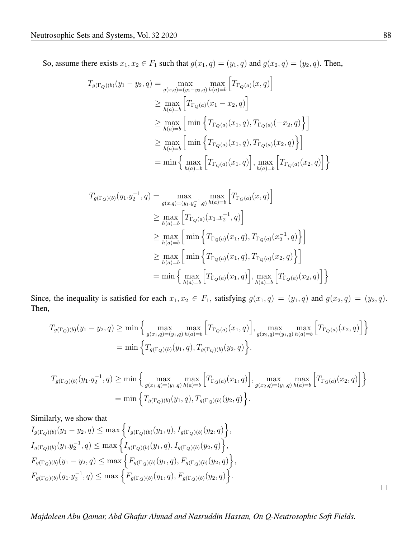So, assume there exists  $x_1, x_2 \in F_1$  such that  $g(x_1, q) = (y_1, q)$  and  $g(x_2, q) = (y_2, q)$ . Then,

$$
T_{g(\Gamma_Q)(b)}(y_1 - y_2, q) = \max_{g(x,q)=(y_1-y_2,q) h(a)=b} \left[ T_{\Gamma_Q(a)}(x, q) \right]
$$
  
\n
$$
\geq \max_{h(a)=b} \left[ T_{\Gamma_Q(a)}(x_1 - x_2, q) \right]
$$
  
\n
$$
\geq \max_{h(a)=b} \left[ \min \left\{ T_{\Gamma_Q(a)}(x_1, q), T_{\Gamma_Q(a)}(-x_2, q) \right\} \right]
$$
  
\n
$$
\geq \max_{h(a)=b} \left[ \min \left\{ T_{\Gamma_Q(a)}(x_1, q), T_{\Gamma_Q(a)}(x_2, q) \right\} \right]
$$
  
\n
$$
= \min \left\{ \max_{h(a)=b} \left[ T_{\Gamma_Q(a)}(x_1, q) \right], \max_{h(a)=b} \left[ T_{\Gamma_Q(a)}(x_2, q) \right] \right\}
$$

$$
T_{g(\Gamma_Q)(b)}(y_1 \cdot y_2^{-1}, q) = \max_{g(x,q)=(y_1 \cdot y_2^{-1}, q) h(a) = b} \left[ T_{\Gamma_Q(a)}(x, q) \right]
$$
  
\n
$$
\geq \max_{h(a) = b} \left[ T_{\Gamma_Q(a)}(x_1 \cdot x_2^{-1}, q) \right]
$$
  
\n
$$
\geq \max_{h(a) = b} \left[ \min \left\{ T_{\Gamma_Q(a)}(x_1, q), T_{\Gamma_Q(a)}(x_2^{-1}, q) \right\} \right]
$$
  
\n
$$
\geq \max_{h(a) = b} \left[ \min \left\{ T_{\Gamma_Q(a)}(x_1, q), T_{\Gamma_Q(a)}(x_2, q) \right\} \right]
$$
  
\n
$$
= \min \left\{ \max_{h(a) = b} \left[ T_{\Gamma_Q(a)}(x_1, q) \right], \max_{h(a) = b} \left[ T_{\Gamma_Q(a)}(x_2, q) \right] \right\}
$$

Since, the inequality is satisfied for each  $x_1, x_2 \in F_1$ , satisfying  $g(x_1, q) = (y_1, q)$  and  $g(x_2, q) = (y_2, q)$ . Then,

$$
T_{g(\Gamma_Q)(b)}(y_1 - y_2, q) \ge \min\left\{\max_{g(x_1, q) = (y_1, q)} \max_{h(a) = b} \left[T_{\Gamma_Q(a)}(x_1, q)\right], \max_{g(x_2, q) = (y_1, q)} \max_{h(a) = b} \left[T_{\Gamma_Q(a)}(x_2, q)\right]\right\}
$$

$$
= \min\left\{T_{g(\Gamma_Q)(b)}(y_1, q), T_{g(\Gamma_Q)(b)}(y_2, q)\right\}.
$$

$$
T_{g(\Gamma_Q)(b)}(y_1 \cdot y_2^{-1}, q) \ge \min \left\{ \max_{g(x_1, q) = (y_1, q) \; h(a) = b} \left[ T_{\Gamma_Q(a)}(x_1, q) \right], \max_{g(x_2, q) = (y_1, q) \; h(a) = b} \left[ T_{\Gamma_Q(a)}(x_2, q) \right] \right\}
$$
  
=  $\min \left\{ T_{g(\Gamma_Q)(b)}(y_1, q), T_{g(\Gamma_Q)(b)}(y_2, q) \right\}.$ 

Similarly, we show that

$$
I_{g(\Gamma_Q)(b)}(y_1 - y_2, q) \le \max \left\{ I_{g(\Gamma_Q)(b)}(y_1, q), I_{g(\Gamma_Q)(b)}(y_2, q) \right\},
$$
  
\n
$$
I_{g(\Gamma_Q)(b)}(y_1, y_2^{-1}, q) \le \max \left\{ I_{g(\Gamma_Q)(b)}(y_1, q), I_{g(\Gamma_Q)(b)}(y_2, q) \right\},
$$
  
\n
$$
F_{g(\Gamma_Q)(b)}(y_1 - y_2, q) \le \max \left\{ F_{g(\Gamma_Q)(b)}(y_1, q), F_{g(\Gamma_Q)(b)}(y_2, q) \right\},
$$
  
\n
$$
F_{g(\Gamma_Q)(b)}(y_1, y_2^{-1}, q) \le \max \left\{ F_{g(\Gamma_Q)(b)}(y_1, q), F_{g(\Gamma_Q)(b)}(y_2, q) \right\}.
$$

 $\Box$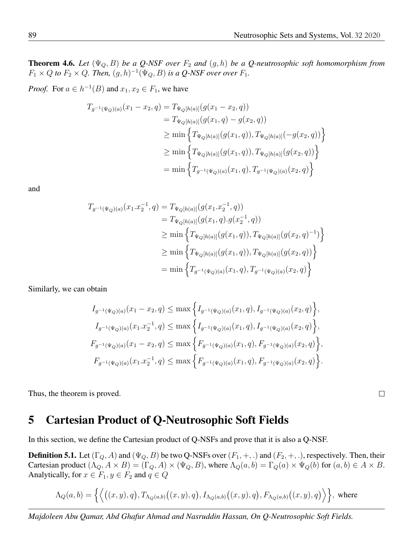**Theorem 4.6.** Let  $(\Psi_Q, B)$  be a Q-NSF over  $F_2$  and  $(g, h)$  be a Q-neutrosophic soft homomorphism from  $F_1 \times Q$  *to*  $F_2 \times Q$ *. Then,*  $(g, h)^{-1}(\Psi_Q, B)$  *is a Q-NSF over over*  $F_1$ *.* 

*Proof.* For  $a \in h^{-1}(B)$  and  $x_1, x_2 \in F_1$ , we have

$$
T_{g^{-1}(\Psi_Q)(a)}(x_1 - x_2, q) = T_{\Psi_Q[h(a)]}(g(x_1 - x_2, q))
$$
  
\n
$$
= T_{\Psi_Q[h(a)]}(g(x_1, q) - g(x_2, q))
$$
  
\n
$$
\geq \min \left\{ T_{\Psi_Q[h(a)]}(g(x_1, q)), T_{\Psi_Q[h(a)]}(-g(x_2, q)) \right\}
$$
  
\n
$$
\geq \min \left\{ T_{\Psi_Q[h(a)]}(g(x_1, q)), T_{\Psi_Q[h(a)]}(g(x_2, q)) \right\}
$$
  
\n
$$
= \min \left\{ T_{g^{-1}(\Psi_Q)(a)}(x_1, q), T_{g^{-1}(\Psi_Q)(a)}(x_2, q) \right\}
$$

and

$$
T_{g^{-1}(\Psi_Q)(a)}(x_1.x_2^{-1}, q) = T_{\Psi_Q[h(a)]}(g(x_1.x_2^{-1}, q))
$$
  
\n
$$
= T_{\Psi_Q[h(a)]}(g(x_1, q).g(x_2^{-1}, q))
$$
  
\n
$$
\geq \min \left\{ T_{\Psi_Q[h(a)]}(g(x_1, q)), T_{\Psi_Q[h(a)]}(g(x_2, q)^{-1}) \right\}
$$
  
\n
$$
\geq \min \left\{ T_{\Psi_Q[h(a)]}(g(x_1, q)), T_{\Psi_Q[h(a)]}(g(x_2, q)) \right\}
$$
  
\n
$$
= \min \left\{ T_{g^{-1}(\Psi_Q)(a)}(x_1, q), T_{g^{-1}(\Psi_Q)(a)}(x_2, q) \right\}
$$

Similarly, we can obtain

$$
I_{g^{-1}(\Psi_Q)(a)}(x_1 - x_2, q) \le \max \left\{ I_{g^{-1}(\Psi_Q)(a)}(x_1, q), I_{g^{-1}(\Psi_Q)(a)}(x_2, q) \right\},
$$
  
\n
$$
I_{g^{-1}(\Psi_Q)(a)}(x_1 x_2^{-1}, q) \le \max \left\{ I_{g^{-1}(\Psi_Q)(a)}(x_1, q), I_{g^{-1}(\Psi_Q)(a)}(x_2, q) \right\},
$$
  
\n
$$
F_{g^{-1}(\Psi_Q)(a)}(x_1 - x_2, q) \le \max \left\{ F_{g^{-1}(\Psi_Q)(a)}(x_1, q), F_{g^{-1}(\Psi_Q)(a)}(x_2, q) \right\},
$$
  
\n
$$
F_{g^{-1}(\Psi_Q)(a)}(x_1 x_2^{-1}, q) \le \max \left\{ F_{g^{-1}(\Psi_Q)(a)}(x_1, q), F_{g^{-1}(\Psi_Q)(a)}(x_2, q) \right\}.
$$

Thus, the theorem is proved.

#### 5 Cartesian Product of Q-Neutrosophic Soft Fields

In this section, we define the Cartesian product of Q-NSFs and prove that it is also a Q-NSF.

**Definition 5.1.** Let  $(\Gamma_Q, A)$  and  $(\Psi_Q, B)$  be two Q-NSFs over  $(F_1, +, \cdot)$  and  $(F_2, +, \cdot)$ , respectively. Then, their Cartesian product  $(\Lambda_Q, A \times B) = (\Gamma_Q, A) \times (\Psi_Q, B)$ , where  $\Lambda_Q(a, b) = \Gamma_Q(a) \times \Psi_Q(b)$  for  $(a, b) \in A \times B$ . Analytically, for  $x \in F_1, y \in F_2$  and  $q \in Q$ 

$$
\Lambda_Q(a,b) = \left\{ \left\langle \big((x,y),q\big), T_{\Lambda_Q(a,b)}\big((x,y),q\big), I_{\Lambda_Q(a,b)}\big((x,y),q\big), F_{\Lambda_Q(a,b)}\big((x,y),q\big) \right\rangle \right\}, \text{ where}
$$

*Majdoleen Abu Qamar, Abd Ghafur Ahmad and Nasruddin Hassan, On Q-Neutrosophic Soft Fields.*

 $\Box$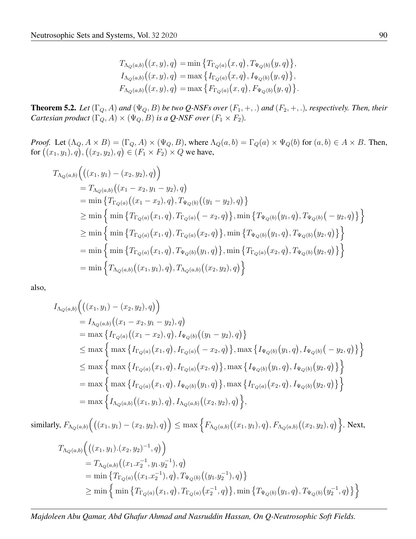$$
T_{\Lambda_Q(a,b)}((x,y),q) = \min \{ T_{\Gamma_Q(a)}(x,q), T_{\Psi_Q(b)}(y,q) \},
$$
  
\n
$$
I_{\Lambda_Q(a,b)}((x,y),q) = \max \{ I_{\Gamma_Q(a)}(x,q), I_{\Psi_Q(b)}(y,q) \},
$$
  
\n
$$
F_{\Lambda_Q(a,b)}((x,y),q) = \max \{ F_{\Gamma_Q(a)}(x,q), F_{\Psi_Q(b)}(y,q) \}.
$$

**Theorem 5.2.** Let  $(\Gamma_Q, A)$  and  $(\Psi_Q, B)$  be two Q-NSFs over  $(F_1, +, .)$  and  $(F_2, +, .)$ , respectively. Then, their *Cartesian product*  $(\Gamma_Q, A) \times (\Psi_Q, B)$  *is a Q-NSF over*  $(F_1 \times F_2)$ *.* 

*Proof.* Let  $(\Lambda_Q, A \times B) = (\Gamma_Q, A) \times (\Psi_Q, B)$ , where  $\Lambda_Q(a, b) = \Gamma_Q(a) \times \Psi_Q(b)$  for  $(a, b) \in A \times B$ . Then, for  $((x_1, y_1), q), ((x_2, y_2), q) \in (F_1 \times F_2) \times Q$  we have,

$$
T_{\Lambda_{Q}(a,b)}\Big(\big((x_1, y_1) - (x_2, y_2), q\big)\Big)
$$
  
\n
$$
= T_{\Lambda_{Q}(a,b)}\big((x_1 - x_2, y_1 - y_2), q\big)
$$
  
\n
$$
= \min \left\{T_{\Gamma_{Q}(a)}\big((x_1 - x_2), q\big), T_{\Psi_{Q}(b)}\big((y_1 - y_2), q\big)\right\}
$$
  
\n
$$
\geq \min \left\{\min \left\{T_{\Gamma_{Q}(a)}(x_1, q), T_{\Gamma_{Q}(a)}(-x_2, q)\right\}, \min \left\{T_{\Psi_{Q}(b)}(y_1, q), T_{\Psi_{Q}(b)}(-y_2, q)\right\}\right\}
$$
  
\n
$$
\geq \min \left\{\min \left\{T_{\Gamma_{Q}(a)}(x_1, q), T_{\Gamma_{Q}(a)}(x_2, q)\right\}, \min \left\{T_{\Psi_{Q}(b)}(y_1, q), T_{\Psi_{Q}(b)}(y_2, q)\right\}\right\}
$$
  
\n
$$
= \min \left\{\min \left\{T_{\Gamma_{Q}(a)}(x_1, q), T_{\Psi_{Q}(b)}(y_1, q)\right\}, \min \left\{T_{\Gamma_{Q}(a)}(x_2, q), T_{\Psi_{Q}(b)}(y_2, q)\right\}\right\}
$$
  
\n
$$
= \min \left\{T_{\Lambda_{Q}(a,b)}\big((x_1, y_1), q\big), T_{\Lambda_{Q}(a,b)}\big((x_2, y_2), q\big)\right\}
$$

also,

$$
I_{\Lambda_{Q}(a,b)}\Big(\big((x_1, y_1) - (x_2, y_2), q\big)\Big)
$$
  
\n
$$
= I_{\Lambda_{Q}(a,b)}\big((x_1 - x_2, y_1 - y_2), q\big)
$$
  
\n
$$
= \max \left\{ I_{\Gamma_{Q}(a)}\big((x_1 - x_2), q\big), I_{\Psi_{Q}(b)}\big((y_1 - y_2), q\big)\right\}
$$
  
\n
$$
\leq \max \left\{ \max \left\{ I_{\Gamma_{Q}(a)}\big(x_1, q\big), I_{\Gamma_{Q}(a)}\big(-x_2, q\big)\right\}, \max \left\{ I_{\Psi_{Q}(b)}\big(y_1, q\big), I_{\Psi_{Q}(b)}\big(-y_2, q\big)\right\} \right\}
$$
  
\n
$$
\leq \max \left\{ \max \left\{ I_{\Gamma_{Q}(a)}\big(x_1, q\big), I_{\Gamma_{Q}(a)}\big(x_2, q\big)\right\}, \max \left\{ I_{\Psi_{Q}(b)}\big(y_1, q\big), I_{\Psi_{Q}(b)}\big(y_2, q\big)\right\} \right\}
$$
  
\n
$$
= \max \left\{ \max \left\{ I_{\Gamma_{Q}(a)}\big(x_1, q\big), I_{\Psi_{Q}(b)}\big(y_1, q\big)\right\}, \max \left\{ I_{\Gamma_{Q}(a)}\big(x_2, q\big), I_{\Psi_{Q}(b)}\big(y_2, q\big)\right\} \right\}
$$
  
\n
$$
= \max \left\{ I_{\Lambda_{Q}(a,b)}\big((x_1, y_1), q\big), I_{\Lambda_{Q}(a,b)}\big((x_2, y_2), q\big)\right\},
$$

 $\text{similarity, } F_{\Lambda_Q(a,b)} \Big( \big( (x_1, y_1) - (x_2, y_2), q \big) \Big) \leq \max \Big\{ F_{\Lambda_Q(a,b)} \big( (x_1, y_1), q \big), F_{\Lambda_Q(a,b)} \big( (x_2, y_2), q \big) \Big\}.$  Next,

$$
T_{\Lambda_Q(a,b)}\Big(\big((x_1,y_1).(x_2,y_2)^{-1},q\big)\Big)
$$
  
=  $T_{\Lambda_Q(a,b)}\big((x_1.x_2^{-1},y_1.y_2^{-1}),q\big)$   
= min  $\{T_{\Gamma_Q(a)}\big((x_1.x_2^{-1}),q\big),T_{\Psi_Q(b)}\big((y_1.y_2^{-1}),q\big)\}$   
 $\geq$  min  $\Big\{\min\{T_{\Gamma_Q(a)}\big(x_1,q\big),T_{\Gamma_Q(a)}\big(x_2^{-1},q\big)\big\},\min\{T_{\Psi_Q(b)}\big(y_1,q\big),T_{\Psi_Q(b)}\big(y_2^{-1},q\big)\}\Big\}$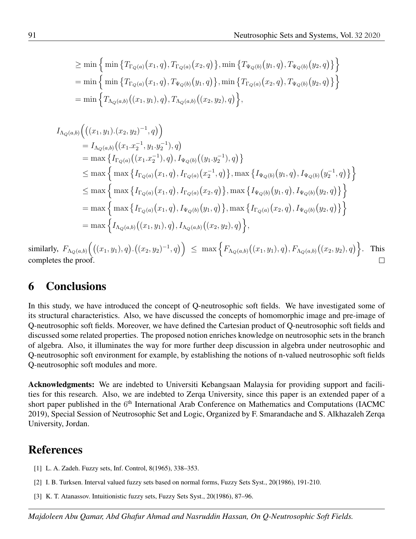$$
\geq \min \left\{ \min \left\{ T_{\Gamma_Q(a)}(x_1, q), T_{\Gamma_Q(a)}(x_2, q) \right\}, \min \left\{ T_{\Psi_Q(b)}(y_1, q), T_{\Psi_Q(b)}(y_2, q) \right\} \right\}
$$
  
= 
$$
\min \left\{ \min \left\{ T_{\Gamma_Q(a)}(x_1, q), T_{\Psi_Q(b)}(y_1, q) \right\}, \min \left\{ T_{\Gamma_Q(a)}(x_2, q), T_{\Psi_Q(b)}(y_2, q) \right\} \right\}
$$
  
= 
$$
\min \left\{ T_{\Lambda_Q(a, b)}((x_1, y_1), q), T_{\Lambda_Q(a, b)}((x_2, y_2), q) \right\},
$$

$$
I_{\Lambda_{Q}(a,b)}\Big(\big((x_1,y_1).(x_2,y_2)^{-1},q\big)\Big)
$$
  
\n
$$
= I_{\Lambda_{Q}(a,b)}\big((x_1.x_2^{-1},y_1.y_2^{-1}),q\big)
$$
  
\n
$$
= \max\left\{I_{\Gamma_{Q}(a)}\big((x_1.x_2^{-1}),q\big),I_{\Psi_{Q}(b)}\big((y_1.y_2^{-1}),q\big)\right\}
$$
  
\n
$$
\leq \max\left\{\max\left\{I_{\Gamma_{Q}(a)}\big(x_1,q\big),I_{\Gamma_{Q}(a)}\big(x_2^{-1},q\big)\right\},\max\left\{I_{\Psi_{Q}(b)}\big(y_1,q\big),I_{\Psi_{Q}(b)}\big(y_2^{-1},q\big)\right\}\right\}
$$
  
\n
$$
\leq \max\left\{\max\left\{I_{\Gamma_{Q}(a)}\big(x_1,q\big),I_{\Gamma_{Q}(a)}\big(x_2,q\big)\right\},\max\left\{I_{\Psi_{Q}(b)}\big(y_1,q\big),I_{\Psi_{Q}(b)}\big(y_2,q\big)\right\}\right\}
$$
  
\n
$$
= \max\left\{\max\left\{I_{\Gamma_{Q}(a)}\big(x_1,q\big),I_{\Psi_{Q}(b)}\big(y_1,q\big)\right\},\max\left\{I_{\Gamma_{Q}(a)}\big(x_2,q\big),I_{\Psi_{Q}(b)}\big(y_2,q\big)\right\}\right\}
$$
  
\n
$$
= \max\left\{I_{\Lambda_{Q}(a,b)}\big((x_1,y_1),q\big),I_{\Lambda_{Q}(a,b)}\big((x_2,y_2),q\big)\right\},
$$

 $\text{similarity, } \ F_{\Lambda_Q(a,b)}\Big(\big((x_1,y_1),q\big).\big((x_2,y_2)^{-1},q\big)\Big) \ \leq \ \max\Big\{F_{\Lambda_Q(a,b)}\big((x_1,y_1),q\big),F_{\Lambda_Q(a,b)}\big((x_2,y_2),q\big)\Big\}$ . This completes the proof.  $\Box$ 

#### 6 Conclusions

In this study, we have introduced the concept of Q-neutrosophic soft fields. We have investigated some of its structural characteristics. Also, we have discussed the concepts of homomorphic image and pre-image of Q-neutrosophic soft fields. Moreover, we have defined the Cartesian product of Q-neutrosophic soft fields and discussed some related properties. The proposed notion enriches knowledge on neutrosophic sets in the branch of algebra. Also, it illuminates the way for more further deep discussion in algebra under neutrosophic and Q-neutrosophic soft environment for example, by establishing the notions of n-valued neutrosophic soft fields Q-neutrosophic soft modules and more.

Acknowledgments: We are indebted to Universiti Kebangsaan Malaysia for providing support and facilities for this research. Also, we are indebted to Zerqa University, since this paper is an extended paper of a short paper published in the 6<sup>th</sup> International Arab Conference on Mathematics and Computations (IACMC 2019), Special Session of Neutrosophic Set and Logic, Organized by F. Smarandache and S. Alkhazaleh Zerqa University, Jordan.

#### References

- <span id="page-11-0"></span>[1] L. A. Zadeh. Fuzzy sets, Inf. Control, 8(1965), 338–353.
- <span id="page-11-1"></span>[2] I. B. Turksen. Interval valued fuzzy sets based on normal forms, Fuzzy Sets Syst., 20(1986), 191-210.
- <span id="page-11-2"></span>[3] K. T. Atanassov. Intuitionistic fuzzy sets, Fuzzy Sets Syst., 20(1986), 87–96.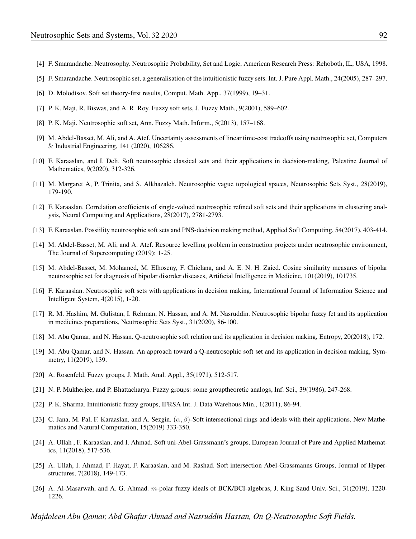- <span id="page-12-0"></span>[4] F. Smarandache. Neutrosophy. Neutrosophic Probability, Set and Logic, American Research Press: Rehoboth, IL, USA, 1998.
- <span id="page-12-1"></span>[5] F. Smarandache. Neutrosophic set, a generalisation of the intuitionistic fuzzy sets. Int. J. Pure Appl. Math., 24(2005), 287–297.
- <span id="page-12-2"></span>[6] D. Molodtsov. Soft set theory-first results, Comput. Math. App., 37(1999), 19–31.
- <span id="page-12-3"></span>[7] P. K. Maji, R. Biswas, and A. R. Roy. Fuzzy soft sets, J. Fuzzy Math., 9(2001), 589–602.
- <span id="page-12-4"></span>[8] P. K. Maji. Neutrosophic soft set, Ann. Fuzzy Math. Inform., 5(2013), 157–168.
- <span id="page-12-5"></span>[9] M. Abdel-Basset, M. Ali, and A. Atef. Uncertainty assessments of linear time-cost tradeoffs using neutrosophic set, Computers & Industrial Engineering, 141 (2020), 106286.
- [10] F. Karaaslan, and I. Deli. Soft neutrosophic classical sets and their applications in decision-making, Palestine Journal of Mathematics, 9(2020), 312-326.
- [11] M. Margaret A, P. Trinita, and S. Alkhazaleh. Neutrosophic vague topological spaces, Neutrosophic Sets Syst., 28(2019), 179-190.
- [12] F. Karaaslan. Correlation coefficients of single-valued neutrosophic refined soft sets and their applications in clustering analysis, Neural Computing and Applications, 28(2017), 2781-2793.
- [13] F. Karaaslan. Possiility neutrosophic soft sets and PNS-decision making method, Applied Soft Computing, 54(2017), 403-414.
- [14] M. Abdel-Basset, M. Ali, and A. Atef. Resource levelling problem in construction projects under neutrosophic environment, The Journal of Supercomputing (2019): 1-25.
- [15] M. Abdel-Basset, M. Mohamed, M. Elhoseny, F. Chiclana, and A. E. N. H. Zaied. Cosine similarity measures of bipolar neutrosophic set for diagnosis of bipolar disorder diseases, Artificial Intelligence in Medicine, 101(2019), 101735.
- [16] F. Karaaslan. Neutrosophic soft sets with applications in decision making, International Journal of Information Science and Intelligent System, 4(2015), 1-20.
- <span id="page-12-6"></span>[17] R. M. Hashim, M. Gulistan, I. Rehman, N. Hassan, and A. M. Nasruddin. Neutrosophic bipolar fuzzy fet and its application in medicines preparations, Neutrosophic Sets Syst., 31(2020), 86-100.
- <span id="page-12-7"></span>[18] M. Abu Qamar, and N. Hassan. Q-neutrosophic soft relation and its application in decision making, Entropy, 20(2018), 172.
- <span id="page-12-8"></span>[19] M. Abu Qamar, and N. Hassan. An approach toward a Q-neutrosophic soft set and its application in decision making, Symmetry, 11(2019), 139.
- <span id="page-12-9"></span>[20] A. Rosenfeld. Fuzzy groups, J. Math. Anal. Appl., 35(1971), 512-517.
- <span id="page-12-10"></span>[21] N. P. Mukherjee, and P. Bhattacharya. Fuzzy groups: some grouptheoretic analogs, Inf. Sci., 39(1986), 247-268.
- <span id="page-12-11"></span>[22] P. K. Sharma. Intuitionistic fuzzy groups, IFRSA Int. J. Data Warehous Min., 1(2011), 86-94.
- <span id="page-12-12"></span>[23] C. Jana, M. Pal, F. Karaaslan, and A. Sezgin.  $(\alpha, \beta)$ -Soft intersectional rings and ideals with their applications, New Mathematics and Natural Computation, 15(2019) 333-350.
- [24] A. Ullah , F. Karaaslan, and I. Ahmad. Soft uni-Abel-Grassmann's groups, European Journal of Pure and Applied Mathematics, 11(2018), 517-536.
- [25] A. Ullah, I. Ahmad, F. Hayat, F. Karaaslan, and M. Rashad. Soft intersection Abel-Grassmanns Groups, Journal of Hyperstructures, 7(2018), 149-173.
- [26] A. Al-Masarwah, and A. G. Ahmad. m-polar fuzzy ideals of BCK/BCI-algebras, J. King Saud Univ.-Sci., 31(2019), 1220- 1226.